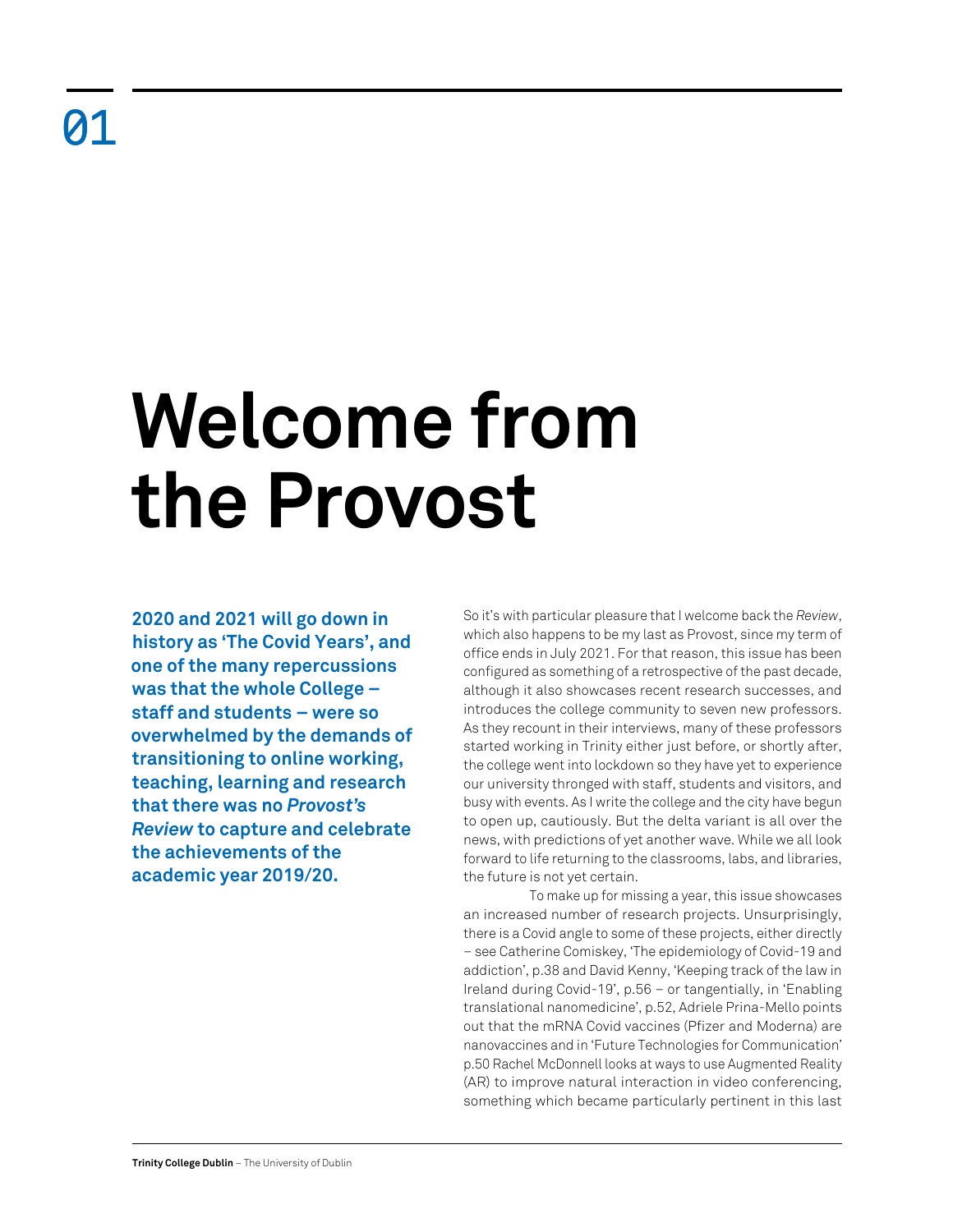## **Welcome from the Provost**

**2020 and 2021 will go down in history as 'The Covid Years', and one of the many repercussions was that the whole College – staff and students – were so overwhelmed by the demands of transitioning to online working, teaching, learning and research that there was no** *Provost's Review* **to capture and celebrate the achievements of the academic year 2019/20.**

So it's with particular pleasure that I welcome back the *Review*, which also happens to be my last as Provost, since my term of office ends in July 2021. For that reason, this issue has been configured as something of a retrospective of the past decade, although it also showcases recent research successes, and introduces the college community to seven new professors. As they recount in their interviews, many of these professors started working in Trinity either just before, or shortly after, the college went into lockdown so they have yet to experience our university thronged with staff, students and visitors, and busy with events. As I write the college and the city have begun to open up, cautiously. But the delta variant is all over the news, with predictions of yet another wave. While we all look forward to life returning to the classrooms, labs, and libraries, the future is not yet certain.

To make up for missing a year, this issue showcases an increased number of research projects. Unsurprisingly, there is a Covid angle to some of these projects, either directly – see Catherine Comiskey, 'The epidemiology of Covid-19 and addiction', p.38 and David Kenny, 'Keeping track of the law in Ireland during Covid-19', p.56 – or tangentially, in 'Enabling translational nanomedicine', p.52, Adriele Prina-Mello points out that the mRNA Covid vaccines (Pfizer and Moderna) are nanovaccines and in 'Future Technologies for Communication' p.50 Rachel McDonnell looks at ways to use Augmented Reality (AR) to improve natural interaction in video conferencing, something which became particularly pertinent in this last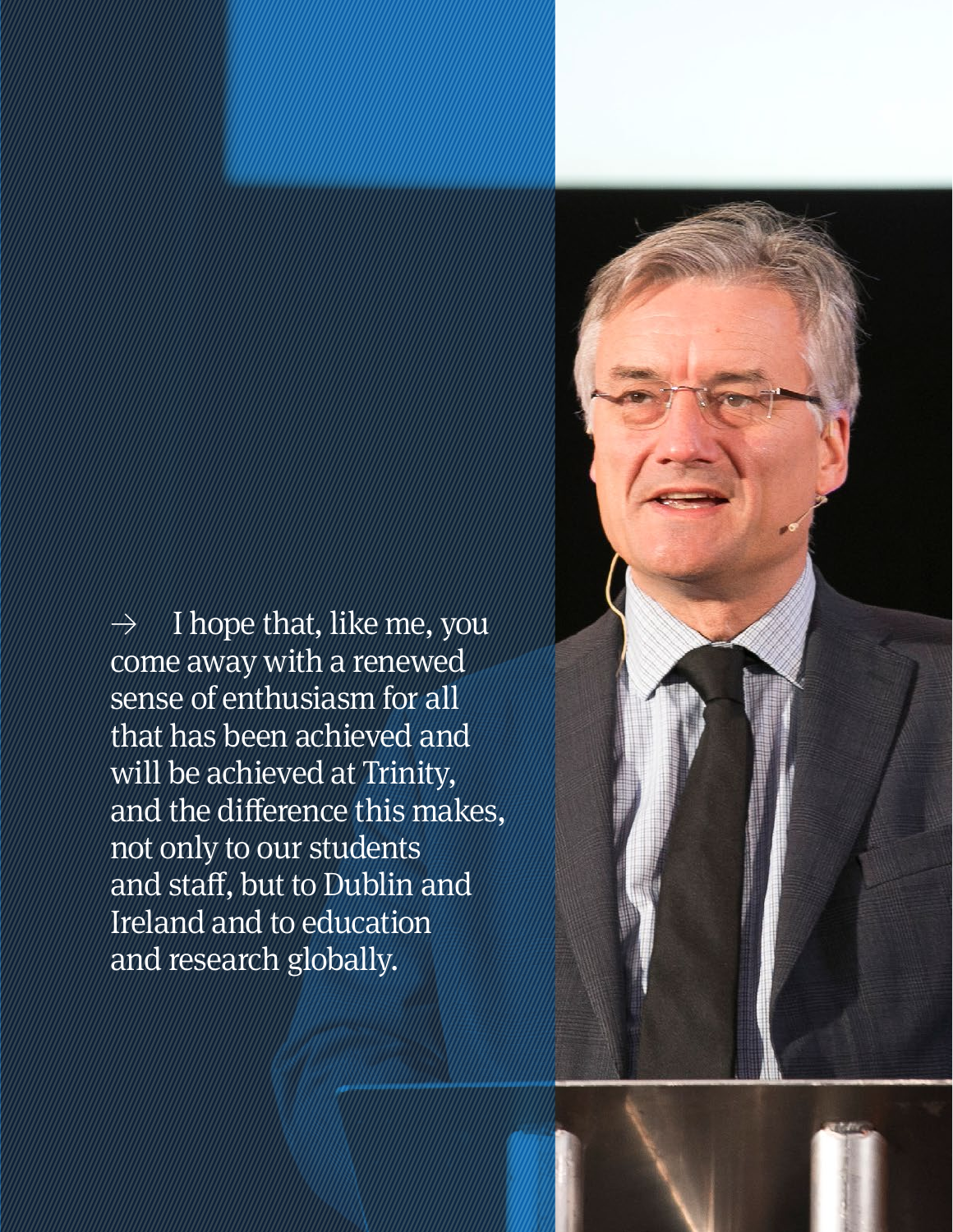$\rightarrow$  I hope that, like me, you come away with a renewed sense of enthusiasm for all that has been achieved and will be achieved at Trinity, and the difference this makes, not only to our students and staff, but to Dublin and Ireland and to education and research globally.

**Retrospective Review** 2011–21 02 | 03

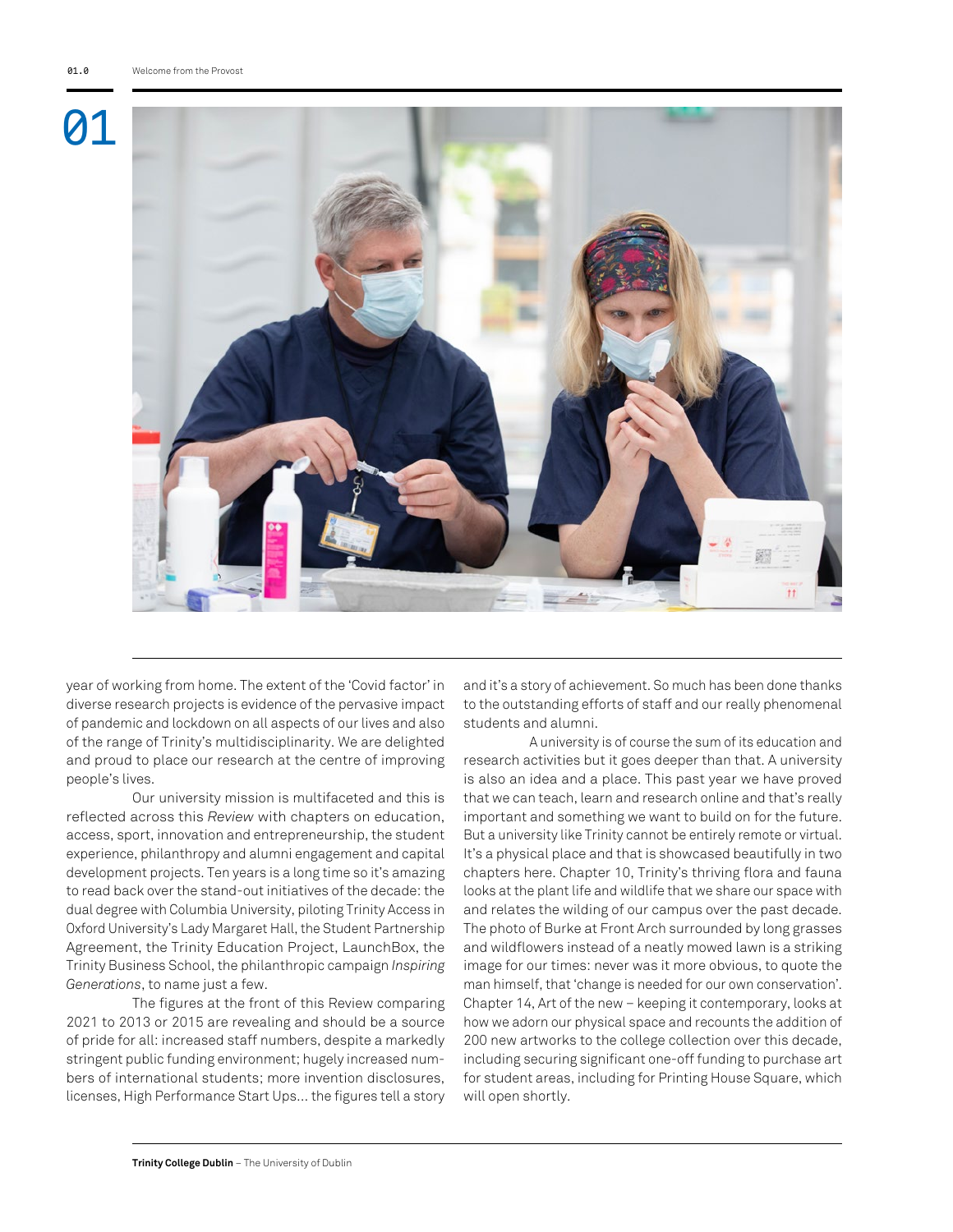

year of working from home. The extent of the 'Covid factor' in diverse research projects is evidence of the pervasive impact of pandemic and lockdown on all aspects of our lives and also of the range of Trinity's multidisciplinarity. We are delighted and proud to place our research at the centre of improving people's lives.

Our university mission is multifaceted and this is reflected across this *Review* with chapters on education, access, sport, innovation and entrepreneurship, the student experience, philanthropy and alumni engagement and capital development projects. Ten years is a long time so it's amazing to read back over the stand-out initiatives of the decade: the dual degree with Columbia University, piloting Trinity Access in Oxford University's Lady Margaret Hall, the Student Partnership Agreement, the Trinity Education Project, LaunchBox, the Trinity Business School, the philanthropic campaign *Inspiring Generations*, to name just a few.

The figures at the front of this Review comparing 2021 to 2013 or 2015 are revealing and should be a source of pride for all: increased staff numbers, despite a markedly stringent public funding environment; hugely increased numbers of international students; more invention disclosures, licenses, High Performance Start Ups… the figures tell a story

and it's a story of achievement. So much has been done thanks to the outstanding efforts of staff and our really phenomenal students and alumni.

A university is of course the sum of its education and research activities but it goes deeper than that. A university is also an idea and a place. This past year we have proved that we can teach, learn and research online and that's really important and something we want to build on for the future. But a university like Trinity cannot be entirely remote or virtual. It's a physical place and that is showcased beautifully in two chapters here. Chapter 10, Trinity's thriving flora and fauna looks at the plant life and wildlife that we share our space with and relates the wilding of our campus over the past decade. The photo of Burke at Front Arch surrounded by long grasses and wildflowers instead of a neatly mowed lawn is a striking image for our times: never was it more obvious, to quote the man himself, that 'change is needed for our own conservation'. Chapter 14, Art of the new – keeping it contemporary, looks at how we adorn our physical space and recounts the addition of 200 new artworks to the college collection over this decade, including securing significant one-off funding to purchase art for student areas, including for Printing House Square, which will open shortly.